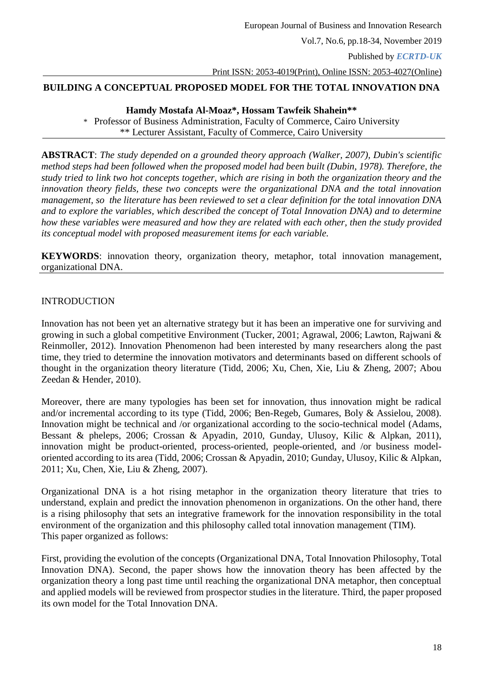## **BUILDING A CONCEPTUAL PROPOSED MODEL FOR THE TOTAL INNOVATION DNA**

### **Hamdy Mostafa Al-Moaz\*, Hossam Tawfeik Shahein\*\***

\* Professor of Business Administration, Faculty of Commerce, Cairo University \*\* Lecturer Assistant, Faculty of Commerce, Cairo University

**ABSTRACT**: *The study depended on a grounded theory approach (Walker, 2007), Dubin's scientific method steps had been followed when the proposed model had been built (Dubin, 1978). Therefore, the study tried to link two hot concepts together, which are rising in both the organization theory and the innovation theory fields, these two concepts were the organizational DNA and the total innovation management, so the literature has been reviewed to set a clear definition for the total innovation DNA and to explore the variables, which described the concept of Total Innovation DNA) and to determine how these variables were measured and how they are related with each other, then the study provided its conceptual model with proposed measurement items for each variable.*

**KEYWORDS**: innovation theory, organization theory, metaphor, total innovation management, organizational DNA.

## INTRODUCTION

Innovation has not been yet an alternative strategy but it has been an imperative one for surviving and growing in such a global competitive Environment (Tucker, 2001; Agrawal, 2006; Lawton, Rajwani & Reinmoller, 2012). Innovation Phenomenon had been interested by many researchers along the past time, they tried to determine the innovation motivators and determinants based on different schools of thought in the organization theory literature (Tidd, 2006; Xu, Chen, Xie, Liu & Zheng, 2007; Abou Zeedan & Hender, 2010).

Moreover, there are many typologies has been set for innovation, thus innovation might be radical and/or incremental according to its type (Tidd, 2006; Ben-Regeb, Gumares, Boly & Assielou, 2008). Innovation might be technical and /or organizational according to the socio-technical model (Adams, Bessant & pheleps, 2006; Crossan & Apyadin, 2010, Gunday, Ulusoy, Kilic & Alpkan, 2011), innovation might be product-oriented, process-oriented, people-oriented, and /or business modeloriented according to its area (Tidd, 2006; Crossan & Apyadin, 2010; Gunday, Ulusoy, Kilic & Alpkan, 2011; Xu, Chen, Xie, Liu & Zheng, 2007).

Organizational DNA is a hot rising metaphor in the organization theory literature that tries to understand, explain and predict the innovation phenomenon in organizations. On the other hand, there is a rising philosophy that sets an integrative framework for the innovation responsibility in the total environment of the organization and this philosophy called total innovation management (TIM). This paper organized as follows:

First, providing the evolution of the concepts (Organizational DNA, Total Innovation Philosophy, Total Innovation DNA). Second, the paper shows how the innovation theory has been affected by the organization theory a long past time until reaching the organizational DNA metaphor, then conceptual and applied models will be reviewed from prospector studies in the literature. Third, the paper proposed its own model for the Total Innovation DNA.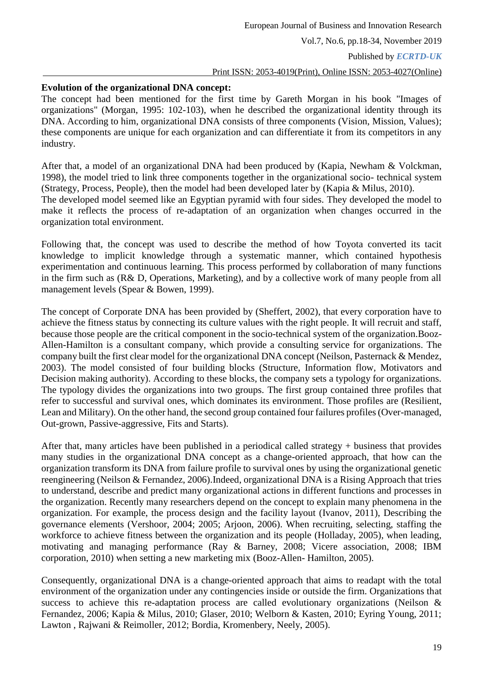## **Evolution of the organizational DNA concept:**

The concept had been mentioned for the first time by Gareth Morgan in his book "Images of organizations" (Morgan, 1995: 102-103), when he described the organizational identity through its DNA. According to him, organizational DNA consists of three components (Vision, Mission, Values); these components are unique for each organization and can differentiate it from its competitors in any industry.

After that, a model of an organizational DNA had been produced by (Kapia, Newham & Volckman, 1998), the model tried to link three components together in the organizational socio- technical system (Strategy, Process, People), then the model had been developed later by (Kapia & Milus, 2010). The developed model seemed like an Egyptian pyramid with four sides. They developed the model to make it reflects the process of re-adaptation of an organization when changes occurred in the organization total environment.

Following that, the concept was used to describe the method of how Toyota converted its tacit knowledge to implicit knowledge through a systematic manner, which contained hypothesis experimentation and continuous learning. This process performed by collaboration of many functions in the firm such as (R& D, Operations, Marketing), and by a collective work of many people from all management levels (Spear & Bowen, 1999).

The concept of Corporate DNA has been provided by (Sheffert, 2002), that every corporation have to achieve the fitness status by connecting its culture values with the right people. It will recruit and staff, because those people are the critical component in the socio-technical system of the organization.Booz-Allen-Hamilton is a consultant company, which provide a consulting service for organizations. The company built the first clear model for the organizational DNA concept (Neilson, Pasternack & Mendez, 2003). The model consisted of four building blocks (Structure, Information flow, Motivators and Decision making authority). According to these blocks, the company sets a typology for organizations. The typology divides the organizations into two groups. The first group contained three profiles that refer to successful and survival ones, which dominates its environment. Those profiles are (Resilient, Lean and Military). On the other hand, the second group contained four failures profiles (Over-managed, Out-grown, Passive-aggressive, Fits and Starts).

After that, many articles have been published in a periodical called strategy + business that provides many studies in the organizational DNA concept as a change-oriented approach, that how can the organization transform its DNA from failure profile to survival ones by using the organizational genetic reengineering (Neilson & Fernandez, 2006).Indeed, organizational DNA is a Rising Approach that tries to understand, describe and predict many organizational actions in different functions and processes in the organization. Recently many researchers depend on the concept to explain many phenomena in the organization. For example, the process design and the facility layout (Ivanov, 2011), Describing the governance elements (Vershoor, 2004; 2005; Arjoon, 2006). When recruiting, selecting, staffing the workforce to achieve fitness between the organization and its people (Holladay, 2005), when leading, motivating and managing performance (Ray & Barney, 2008; Vicere association, 2008; IBM corporation, 2010) when setting a new marketing mix (Booz-Allen- Hamilton, 2005).

Consequently, organizational DNA is a change-oriented approach that aims to readapt with the total environment of the organization under any contingencies inside or outside the firm. Organizations that success to achieve this re-adaptation process are called evolutionary organizations (Neilson & Fernandez, 2006; Kapia & Milus, 2010; Glaser, 2010; Welborn & Kasten, 2010; Eyring Young, 2011; Lawton , Rajwani & Reimoller, 2012; Bordia, Kromenbery, Neely, 2005).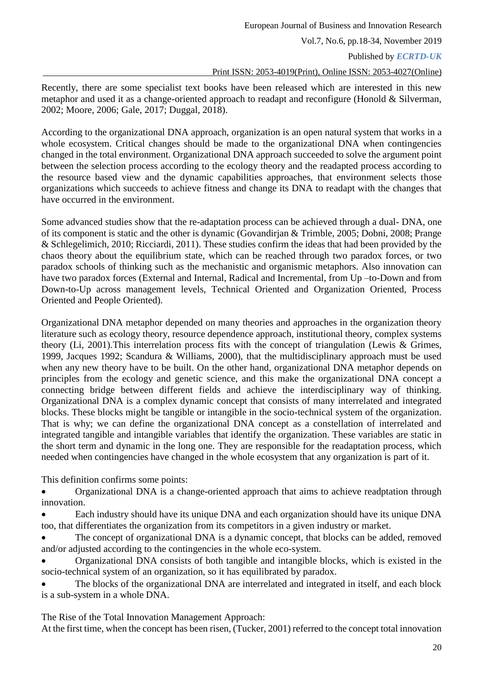Published by *ECRTD-UK*

Print ISSN: 2053-4019(Print), Online ISSN: 2053-4027(Online)

Recently, there are some specialist text books have been released which are interested in this new metaphor and used it as a change-oriented approach to readapt and reconfigure (Honold & Silverman, 2002; Moore, 2006; Gale, 2017; Duggal, 2018).

According to the organizational DNA approach, organization is an open natural system that works in a whole ecosystem. Critical changes should be made to the organizational DNA when contingencies changed in the total environment. Organizational DNA approach succeeded to solve the argument point between the selection process according to the ecology theory and the readapted process according to the resource based view and the dynamic capabilities approaches, that environment selects those organizations which succeeds to achieve fitness and change its DNA to readapt with the changes that have occurred in the environment.

Some advanced studies show that the re-adaptation process can be achieved through a dual- DNA, one of its component is static and the other is dynamic (Govandirjan & Trimble, 2005; Dobni, 2008; Prange & Schlegelimich, 2010; Ricciardi, 2011). These studies confirm the ideas that had been provided by the chaos theory about the equilibrium state, which can be reached through two paradox forces, or two paradox schools of thinking such as the mechanistic and organismic metaphors. Also innovation can have two paradox forces (External and Internal, Radical and Incremental, from Up –to-Down and from Down-to-Up across management levels, Technical Oriented and Organization Oriented, Process Oriented and People Oriented).

Organizational DNA metaphor depended on many theories and approaches in the organization theory literature such as ecology theory, resource dependence approach, institutional theory, complex systems theory (Li, 2001).This interrelation process fits with the concept of triangulation (Lewis & Grimes, 1999, Jacques 1992; Scandura & Williams, 2000), that the multidisciplinary approach must be used when any new theory have to be built. On the other hand, organizational DNA metaphor depends on principles from the ecology and genetic science, and this make the organizational DNA concept a connecting bridge between different fields and achieve the interdisciplinary way of thinking. Organizational DNA is a complex dynamic concept that consists of many interrelated and integrated blocks. These blocks might be tangible or intangible in the socio-technical system of the organization. That is why; we can define the organizational DNA concept as a constellation of interrelated and integrated tangible and intangible variables that identify the organization. These variables are static in the short term and dynamic in the long one. They are responsible for the readaptation process, which needed when contingencies have changed in the whole ecosystem that any organization is part of it.

This definition confirms some points:

 Organizational DNA is a change-oriented approach that aims to achieve readptation through innovation.

 Each industry should have its unique DNA and each organization should have its unique DNA too, that differentiates the organization from its competitors in a given industry or market.

 The concept of organizational DNA is a dynamic concept, that blocks can be added, removed and/or adjusted according to the contingencies in the whole eco-system.

 Organizational DNA consists of both tangible and intangible blocks, which is existed in the socio-technical system of an organization, so it has equilibrated by paradox.

 The blocks of the organizational DNA are interrelated and integrated in itself, and each block is a sub-system in a whole DNA.

The Rise of the Total Innovation Management Approach:

At the first time, when the concept has been risen, (Tucker, 2001) referred to the concept total innovation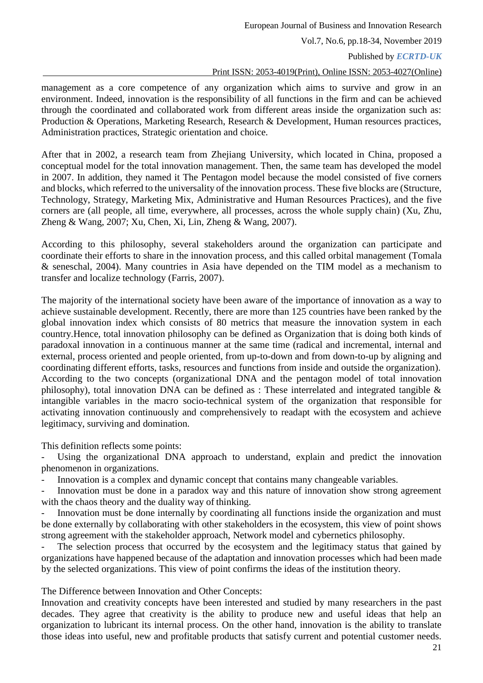Published by *ECRTD-UK*

#### Print ISSN: 2053-4019(Print), Online ISSN: 2053-4027(Online)

management as a core competence of any organization which aims to survive and grow in an environment. Indeed, innovation is the responsibility of all functions in the firm and can be achieved through the coordinated and collaborated work from different areas inside the organization such as: Production & Operations, Marketing Research, Research & Development, Human resources practices, Administration practices, Strategic orientation and choice.

After that in 2002, a research team from Zhejiang University, which located in China, proposed a conceptual model for the total innovation management. Then, the same team has developed the model in 2007. In addition, they named it The Pentagon model because the model consisted of five corners and blocks, which referred to the universality of the innovation process. These five blocks are (Structure, Technology, Strategy, Marketing Mix, Administrative and Human Resources Practices), and the five corners are (all people, all time, everywhere, all processes, across the whole supply chain) (Xu, Zhu, Zheng & Wang, 2007; Xu, Chen, Xi, Lin, Zheng & Wang, 2007).

According to this philosophy, several stakeholders around the organization can participate and coordinate their efforts to share in the innovation process, and this called orbital management (Tomala & seneschal, 2004). Many countries in Asia have depended on the TIM model as a mechanism to transfer and localize technology (Farris, 2007).

The majority of the international society have been aware of the importance of innovation as a way to achieve sustainable development. Recently, there are more than 125 countries have been ranked by the global innovation index which consists of 80 metrics that measure the innovation system in each country.Hence, total innovation philosophy can be defined as Organization that is doing both kinds of paradoxal innovation in a continuous manner at the same time (radical and incremental, internal and external, process oriented and people oriented, from up-to-down and from down-to-up by aligning and coordinating different efforts, tasks, resources and functions from inside and outside the organization). According to the two concepts (organizational DNA and the pentagon model of total innovation philosophy), total innovation DNA can be defined as : These interrelated and integrated tangible  $\&$ intangible variables in the macro socio-technical system of the organization that responsible for activating innovation continuously and comprehensively to readapt with the ecosystem and achieve legitimacy, surviving and domination.

This definition reflects some points:

Using the organizational DNA approach to understand, explain and predict the innovation phenomenon in organizations.

Innovation is a complex and dynamic concept that contains many changeable variables.

Innovation must be done in a paradox way and this nature of innovation show strong agreement with the chaos theory and the duality way of thinking.

Innovation must be done internally by coordinating all functions inside the organization and must be done externally by collaborating with other stakeholders in the ecosystem, this view of point shows strong agreement with the stakeholder approach, Network model and cybernetics philosophy.

The selection process that occurred by the ecosystem and the legitimacy status that gained by organizations have happened because of the adaptation and innovation processes which had been made by the selected organizations. This view of point confirms the ideas of the institution theory.

The Difference between Innovation and Other Concepts:

Innovation and creativity concepts have been interested and studied by many researchers in the past decades. They agree that creativity is the ability to produce new and useful ideas that help an organization to lubricant its internal process. On the other hand, innovation is the ability to translate those ideas into useful, new and profitable products that satisfy current and potential customer needs.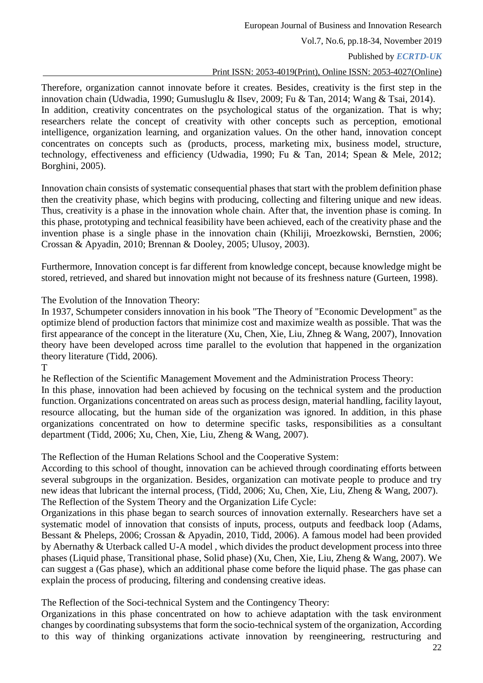European Journal of Business and Innovation Research

Vol.7, No.6, pp.18-34, November 2019

Published by *ECRTD-UK*

## Print ISSN: 2053-4019(Print), Online ISSN: 2053-4027(Online)

Therefore, organization cannot innovate before it creates. Besides, creativity is the first step in the innovation chain (Udwadia, 1990; Gumusluglu & Ilsev, 2009; Fu & Tan, 2014; Wang & Tsai, 2014). In addition, creativity concentrates on the psychological status of the organization. That is why; researchers relate the concept of creativity with other concepts such as perception, emotional intelligence, organization learning, and organization values. On the other hand, innovation concept concentrates on concepts such as (products, process, marketing mix, business model, structure, technology, effectiveness and efficiency (Udwadia, 1990; Fu & Tan, 2014; Spean & Mele, 2012; Borghini, 2005).

Innovation chain consists of systematic consequential phases that start with the problem definition phase then the creativity phase, which begins with producing, collecting and filtering unique and new ideas. Thus, creativity is a phase in the innovation whole chain. After that, the invention phase is coming. In this phase, prototyping and technical feasibility have been achieved, each of the creativity phase and the invention phase is a single phase in the innovation chain (Khiliji, Mroezkowski, Bernstien, 2006; Crossan & Apyadin, 2010; Brennan & Dooley, 2005; Ulusoy, 2003).

Furthermore, Innovation concept is far different from knowledge concept, because knowledge might be stored, retrieved, and shared but innovation might not because of its freshness nature (Gurteen, 1998).

The Evolution of the Innovation Theory:

In 1937, Schumpeter considers innovation in his book "The Theory of "Economic Development" as the optimize blend of production factors that minimize cost and maximize wealth as possible. That was the first appearance of the concept in the literature (Xu, Chen, Xie, Liu, Zhneg & Wang, 2007), Innovation theory have been developed across time parallel to the evolution that happened in the organization theory literature (Tidd, 2006).

he Reflection of the Scientific Management Movement and the Administration Process Theory: In this phase, innovation had been achieved by focusing on the technical system and the production function. Organizations concentrated on areas such as process design, material handling, facility layout, resource allocating, but the human side of the organization was ignored. In addition, in this phase organizations concentrated on how to determine specific tasks, responsibilities as a consultant department (Tidd, 2006; Xu, Chen, Xie, Liu, Zheng & Wang, 2007).

The Reflection of the Human Relations School and the Cooperative System:

According to this school of thought, innovation can be achieved through coordinating efforts between several subgroups in the organization. Besides, organization can motivate people to produce and try new ideas that lubricant the internal process, (Tidd, 2006; Xu, Chen, Xie, Liu, Zheng & Wang, 2007). The Reflection of the System Theory and the Organization Life Cycle:

Organizations in this phase began to search sources of innovation externally. Researchers have set a systematic model of innovation that consists of inputs, process, outputs and feedback loop (Adams, Bessant & Pheleps, 2006; Crossan & Apyadin, 2010, Tidd, 2006). A famous model had been provided by Abernathy & Uterback called U-A model , which divides the product development process into three phases (Liquid phase, Transitional phase, Solid phase) (Xu, Chen, Xie, Liu, Zheng & Wang, 2007). We can suggest a (Gas phase), which an additional phase come before the liquid phase. The gas phase can explain the process of producing, filtering and condensing creative ideas.

The Reflection of the Soci-technical System and the Contingency Theory:

Organizations in this phase concentrated on how to achieve adaptation with the task environment changes by coordinating subsystems that form the socio-technical system of the organization, According to this way of thinking organizations activate innovation by reengineering, restructuring and

T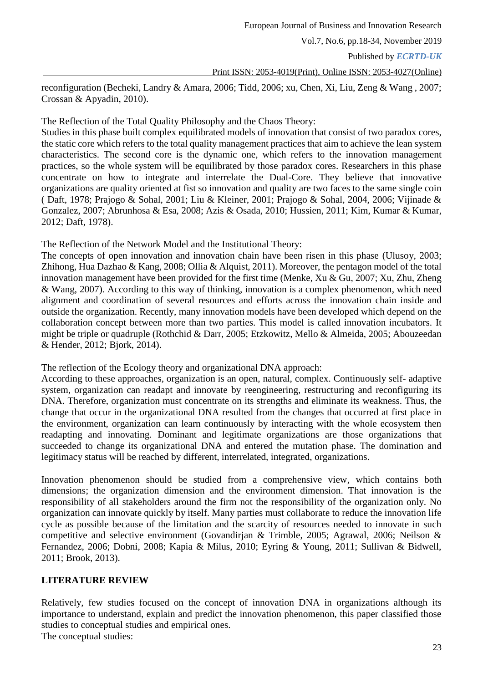Published by *ECRTD-UK*

Print ISSN: 2053-4019(Print), Online ISSN: 2053-4027(Online)

reconfiguration (Becheki, Landry & Amara, 2006; Tidd, 2006; xu, Chen, Xi, Liu, Zeng & Wang , 2007; Crossan & Apyadin, 2010).

The Reflection of the Total Quality Philosophy and the Chaos Theory:

Studies in this phase built complex equilibrated models of innovation that consist of two paradox cores, the static core which refers to the total quality management practices that aim to achieve the lean system characteristics. The second core is the dynamic one, which refers to the innovation management practices, so the whole system will be equilibrated by those paradox cores. Researchers in this phase concentrate on how to integrate and interrelate the Dual-Core. They believe that innovative organizations are quality oriented at fist so innovation and quality are two faces to the same single coin ( Daft, 1978; Prajogo & Sohal, 2001; Liu & Kleiner, 2001; Prajogo & Sohal, 2004, 2006; Vijinade & Gonzalez, 2007; Abrunhosa & Esa, 2008; Azis & Osada, 2010; Hussien, 2011; Kim, Kumar & Kumar, 2012; Daft, 1978).

The Reflection of the Network Model and the Institutional Theory:

The concepts of open innovation and innovation chain have been risen in this phase (Ulusoy, 2003; Zhihong, Hua Dazhao & Kang, 2008; Ollia & Alquist, 2011). Moreover, the pentagon model of the total innovation management have been provided for the first time (Menke, Xu & Gu, 2007; Xu, Zhu, Zheng & Wang, 2007). According to this way of thinking, innovation is a complex phenomenon, which need alignment and coordination of several resources and efforts across the innovation chain inside and outside the organization. Recently, many innovation models have been developed which depend on the collaboration concept between more than two parties. This model is called innovation incubators. It might be triple or quadruple (Rothchid & Darr, 2005; Etzkowitz, Mello & Almeida, 2005; Abouzeedan & Hender, 2012; Bjork, 2014).

The reflection of the Ecology theory and organizational DNA approach:

According to these approaches, organization is an open, natural, complex. Continuously self- adaptive system, organization can readapt and innovate by reengineering, restructuring and reconfiguring its DNA. Therefore, organization must concentrate on its strengths and eliminate its weakness. Thus, the change that occur in the organizational DNA resulted from the changes that occurred at first place in the environment, organization can learn continuously by interacting with the whole ecosystem then readapting and innovating. Dominant and legitimate organizations are those organizations that succeeded to change its organizational DNA and entered the mutation phase. The domination and legitimacy status will be reached by different, interrelated, integrated, organizations.

Innovation phenomenon should be studied from a comprehensive view, which contains both dimensions; the organization dimension and the environment dimension. That innovation is the responsibility of all stakeholders around the firm not the responsibility of the organization only. No organization can innovate quickly by itself. Many parties must collaborate to reduce the innovation life cycle as possible because of the limitation and the scarcity of resources needed to innovate in such competitive and selective environment (Govandirjan & Trimble, 2005; Agrawal, 2006; Neilson & Fernandez, 2006; Dobni, 2008; Kapia & Milus, 2010; Eyring & Young, 2011; Sullivan & Bidwell, 2011; Brook, 2013).

# **LITERATURE REVIEW**

Relatively, few studies focused on the concept of innovation DNA in organizations although its importance to understand, explain and predict the innovation phenomenon, this paper classified those studies to conceptual studies and empirical ones. The conceptual studies: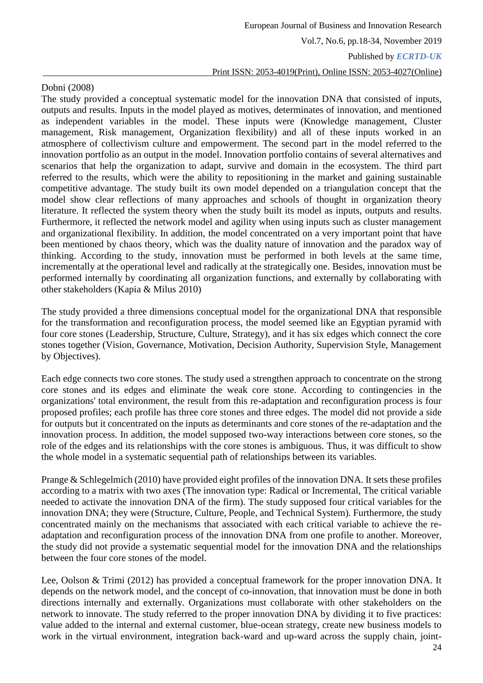## Dobni (2008)

The study provided a conceptual systematic model for the innovation DNA that consisted of inputs, outputs and results. Inputs in the model played as motives, determinates of innovation, and mentioned as independent variables in the model. These inputs were (Knowledge management, Cluster management, Risk management, Organization flexibility) and all of these inputs worked in an atmosphere of collectivism culture and empowerment. The second part in the model referred to the innovation portfolio as an output in the model. Innovation portfolio contains of several alternatives and scenarios that help the organization to adapt, survive and domain in the ecosystem. The third part referred to the results, which were the ability to repositioning in the market and gaining sustainable competitive advantage. The study built its own model depended on a triangulation concept that the model show clear reflections of many approaches and schools of thought in organization theory literature. It reflected the system theory when the study built its model as inputs, outputs and results. Furthermore, it reflected the network model and agility when using inputs such as cluster management and organizational flexibility. In addition, the model concentrated on a very important point that have been mentioned by chaos theory, which was the duality nature of innovation and the paradox way of thinking. According to the study, innovation must be performed in both levels at the same time, incrementally at the operational level and radically at the strategically one. Besides, innovation must be performed internally by coordinating all organization functions, and externally by collaborating with other stakeholders (Kapia & Milus 2010)

The study provided a three dimensions conceptual model for the organizational DNA that responsible for the transformation and reconfiguration process, the model seemed like an Egyptian pyramid with four core stones (Leadership, Structure, Culture, Strategy), and it has six edges which connect the core stones together (Vision, Governance, Motivation, Decision Authority, Supervision Style, Management by Objectives).

Each edge connects two core stones. The study used a strengthen approach to concentrate on the strong core stones and its edges and eliminate the weak core stone. According to contingencies in the organizations' total environment, the result from this re-adaptation and reconfiguration process is four proposed profiles; each profile has three core stones and three edges. The model did not provide a side for outputs but it concentrated on the inputs as determinants and core stones of the re-adaptation and the innovation process. In addition, the model supposed two-way interactions between core stones, so the role of the edges and its relationships with the core stones is ambiguous. Thus, it was difficult to show the whole model in a systematic sequential path of relationships between its variables.

Prange & Schlegelmich (2010) have provided eight profiles of the innovation DNA. It sets these profiles according to a matrix with two axes (The innovation type: Radical or Incremental, The critical variable needed to activate the innovation DNA of the firm). The study supposed four critical variables for the innovation DNA; they were (Structure, Culture, People, and Technical System). Furthermore, the study concentrated mainly on the mechanisms that associated with each critical variable to achieve the readaptation and reconfiguration process of the innovation DNA from one profile to another. Moreover, the study did not provide a systematic sequential model for the innovation DNA and the relationships between the four core stones of the model.

Lee, Oolson & Trimi (2012) has provided a conceptual framework for the proper innovation DNA. It depends on the network model, and the concept of co-innovation, that innovation must be done in both directions internally and externally. Organizations must collaborate with other stakeholders on the network to innovate. The study referred to the proper innovation DNA by dividing it to five practices: value added to the internal and external customer, blue-ocean strategy, create new business models to work in the virtual environment, integration back-ward and up-ward across the supply chain, joint-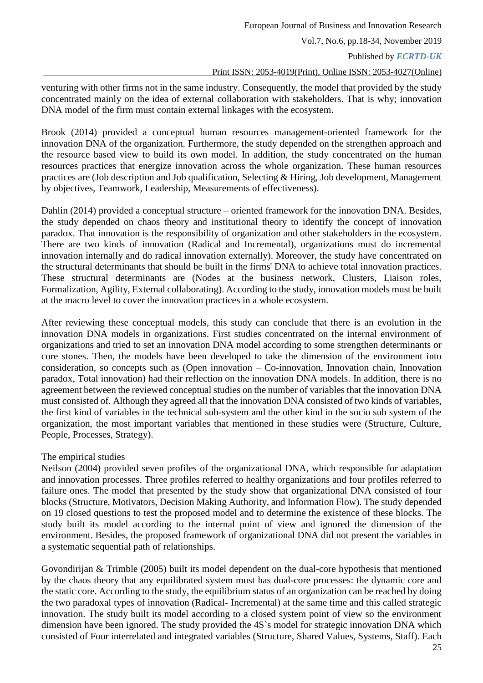Published by *ECRTD-UK*

#### Print ISSN: 2053-4019(Print), Online ISSN: 2053-4027(Online)

venturing with other firms not in the same industry. Consequently, the model that provided by the study concentrated mainly on the idea of external collaboration with stakeholders. That is why; innovation DNA model of the firm must contain external linkages with the ecosystem.

Brook (2014) provided a conceptual human resources management-oriented framework for the innovation DNA of the organization. Furthermore, the study depended on the strengthen approach and the resource based view to build its own model. In addition, the study concentrated on the human resources practices that energize innovation across the whole organization. These human resources practices are (Job description and Job qualification, Selecting & Hiring, Job development, Management by objectives, Teamwork, Leadership, Measurements of effectiveness).

Dahlin (2014) provided a conceptual structure – oriented framework for the innovation DNA. Besides, the study depended on chaos theory and institutional theory to identify the concept of innovation paradox. That innovation is the responsibility of organization and other stakeholders in the ecosystem. There are two kinds of innovation (Radical and Incremental), organizations must do incremental innovation internally and do radical innovation externally). Moreover, the study have concentrated on the structural determinants that should be built in the firms' DNA to achieve total innovation practices. These structural determinants are (Nodes at the business network, Clusters, Liaison roles, Formalization, Agility, External collaborating). According to the study, innovation models must be built at the macro level to cover the innovation practices in a whole ecosystem.

After reviewing these conceptual models, this study can conclude that there is an evolution in the innovation DNA models in organizations. First studies concentrated on the internal environment of organizations and tried to set an innovation DNA model according to some strengthen determinants or core stones. Then, the models have been developed to take the dimension of the environment into consideration, so concepts such as (Open innovation – Co-innovation, Innovation chain, Innovation paradox, Total innovation) had their reflection on the innovation DNA models. In addition, there is no agreement between the reviewed conceptual studies on the number of variables that the innovation DNA must consisted of. Although they agreed all that the innovation DNA consisted of two kinds of variables, the first kind of variables in the technical sub-system and the other kind in the socio sub system of the organization, the most important variables that mentioned in these studies were (Structure, Culture, People, Processes, Strategy).

## The empirical studies

Neilson (2004) provided seven profiles of the organizational DNA, which responsible for adaptation and innovation processes. Three profiles referred to healthy organizations and four profiles referred to failure ones. The model that presented by the study show that organizational DNA consisted of four blocks (Structure, Motivators, Decision Making Authority, and Information Flow). The study depended on 19 closed questions to test the proposed model and to determine the existence of these blocks. The study built its model according to the internal point of view and ignored the dimension of the environment. Besides, the proposed framework of organizational DNA did not present the variables in a systematic sequential path of relationships.

Govondirijan & Trimble (2005) built its model dependent on the dual-core hypothesis that mentioned by the chaos theory that any equilibrated system must has dual-core processes: the dynamic core and the static core. According to the study, the equilibrium status of an organization can be reached by doing the two paradoxal types of innovation (Radical- Incremental) at the same time and this called strategic innovation. The study built its model according to a closed system point of view so the environment dimension have been ignored. The study provided the 4S`s model for strategic innovation DNA which consisted of Four interrelated and integrated variables (Structure, Shared Values, Systems, Staff). Each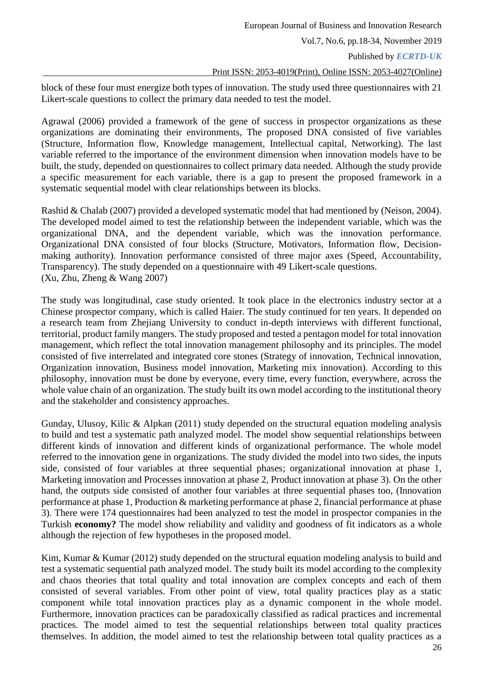Published by *ECRTD-UK*

#### Print ISSN: 2053-4019(Print), Online ISSN: 2053-4027(Online)

block of these four must energize both types of innovation. The study used three questionnaires with 21 Likert-scale questions to collect the primary data needed to test the model.

Agrawal (2006) provided a framework of the gene of success in prospector organizations as these organizations are dominating their environments, The proposed DNA consisted of five variables (Structure, Information flow, Knowledge management, Intellectual capital, Networking). The last variable referred to the importance of the environment dimension when innovation models have to be built, the study, depended on questionnaires to collect primary data needed. Although the study provide a specific measurement for each variable, there is a gap to present the proposed framework in a systematic sequential model with clear relationships between its blocks.

Rashid & Chalab (2007) provided a developed systematic model that had mentioned by (Neison, 2004). The developed model aimed to test the relationship between the independent variable, which was the organizational DNA, and the dependent variable, which was the innovation performance. Organizational DNA consisted of four blocks (Structure, Motivators, Information flow, Decisionmaking authority). Innovation performance consisted of three major axes (Speed, Accountability, Transparency). The study depended on a questionnaire with 49 Likert-scale questions. (Xu, Zhu, Zheng & Wang 2007)

The study was longitudinal, case study oriented. It took place in the electronics industry sector at a Chinese prospector company, which is called Haier. The study continued for ten years. It depended on a research team from Zhejiang University to conduct in-depth interviews with different functional, territorial, product family mangers. The study proposed and tested a pentagon model for total innovation management, which reflect the total innovation management philosophy and its principles. The model consisted of five interrelated and integrated core stones (Strategy of innovation, Technical innovation, Organization innovation, Business model innovation, Marketing mix innovation). According to this philosophy, innovation must be done by everyone, every time, every function, everywhere, across the whole value chain of an organization. The study built its own model according to the institutional theory and the stakeholder and consistency approaches.

Gunday, Ulusoy, Kilic & Alpkan (2011) study depended on the structural equation modeling analysis to build and test a systematic path analyzed model. The model show sequential relationships between different kinds of innovation and different kinds of organizational performance. The whole model referred to the innovation gene in organizations. The study divided the model into two sides, the inputs side, consisted of four variables at three sequential phases; organizational innovation at phase 1, Marketing innovation and Processes innovation at phase 2, Product innovation at phase 3). On the other hand, the outputs side consisted of another four variables at three sequential phases too, (Innovation performance at phase 1, Production & marketing performance at phase 2, financial performance at phase 3). There were 174 questionnaires had been analyzed to test the model in prospector companies in the Turkish **economy?** The model show reliability and validity and goodness of fit indicators as a whole although the rejection of few hypotheses in the proposed model.

Kim, Kumar & Kumar (2012) study depended on the structural equation modeling analysis to build and test a systematic sequential path analyzed model. The study built its model according to the complexity and chaos theories that total quality and total innovation are complex concepts and each of them consisted of several variables. From other point of view, total quality practices play as a static component while total innovation practices play as a dynamic component in the whole model. Furthermore, innovation practices can be paradoxically classified as radical practices and incremental practices. The model aimed to test the sequential relationships between total quality practices themselves. In addition, the model aimed to test the relationship between total quality practices as a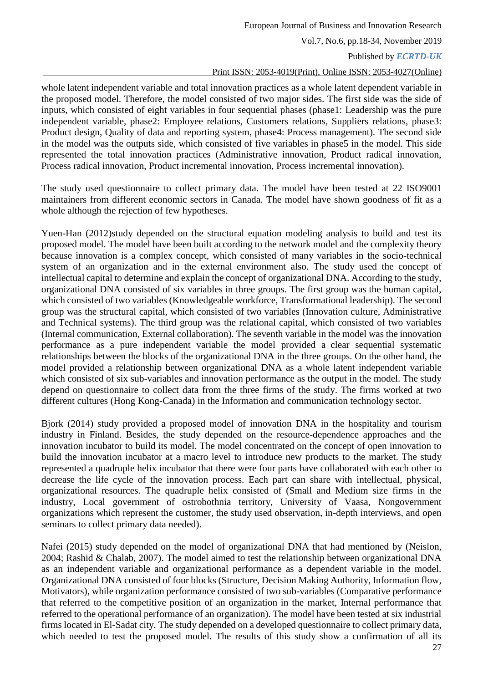Published by *ECRTD-UK*

#### Print ISSN: 2053-4019(Print), Online ISSN: 2053-4027(Online)

whole latent independent variable and total innovation practices as a whole latent dependent variable in the proposed model. Therefore, the model consisted of two major sides. The first side was the side of inputs, which consisted of eight variables in four sequential phases (phase1: Leadership was the pure independent variable, phase2: Employee relations, Customers relations, Suppliers relations, phase3: Product design, Quality of data and reporting system, phase4: Process management). The second side in the model was the outputs side, which consisted of five variables in phase5 in the model. This side represented the total innovation practices (Administrative innovation, Product radical innovation, Process radical innovation, Product incremental innovation, Process incremental innovation).

The study used questionnaire to collect primary data. The model have been tested at 22 ISO9001 maintainers from different economic sectors in Canada. The model have shown goodness of fit as a whole although the rejection of few hypotheses.

Yuen-Han (2012)study depended on the structural equation modeling analysis to build and test its proposed model. The model have been built according to the network model and the complexity theory because innovation is a complex concept, which consisted of many variables in the socio-technical system of an organization and in the external environment also. The study used the concept of intellectual capital to determine and explain the concept of organizational DNA. According to the study, organizational DNA consisted of six variables in three groups. The first group was the human capital, which consisted of two variables (Knowledgeable workforce, Transformational leadership). The second group was the structural capital, which consisted of two variables (Innovation culture, Administrative and Technical systems). The third group was the relational capital, which consisted of two variables (Internal communication, External collaboration). The seventh variable in the model was the innovation performance as a pure independent variable the model provided a clear sequential systematic relationships between the blocks of the organizational DNA in the three groups. On the other hand, the model provided a relationship between organizational DNA as a whole latent independent variable which consisted of six sub-variables and innovation performance as the output in the model. The study depend on questionnaire to collect data from the three firms of the study. The firms worked at two different cultures (Hong Kong-Canada) in the Information and communication technology sector.

Bjork (2014) study provided a proposed model of innovation DNA in the hospitality and tourism industry in Finland. Besides, the study depended on the resource-dependence approaches and the innovation incubator to build its model. The model concentrated on the concept of open innovation to build the innovation incubator at a macro level to introduce new products to the market. The study represented a quadruple helix incubator that there were four parts have collaborated with each other to decrease the life cycle of the innovation process. Each part can share with intellectual, physical, organizational resources. The quadruple helix consisted of (Small and Medium size firms in the industry, Local government of ostrobothnia territory, University of Vaasa, Nongovernment organizations which represent the customer, the study used observation, in-depth interviews, and open seminars to collect primary data needed).

Nafei (2015) study depended on the model of organizational DNA that had mentioned by (Neislon, 2004; Rashid & Chalab, 2007). The model aimed to test the relationship between organizational DNA as an independent variable and organizational performance as a dependent variable in the model. Organizational DNA consisted of four blocks (Structure, Decision Making Authority, Information flow, Motivators), while organization performance consisted of two sub-variables (Comparative performance that referred to the competitive position of an organization in the market, Internal performance that referred to the operational performance of an organization). The model have been tested at six industrial firms located in El-Sadat city. The study depended on a developed questionnaire to collect primary data, which needed to test the proposed model. The results of this study show a confirmation of all its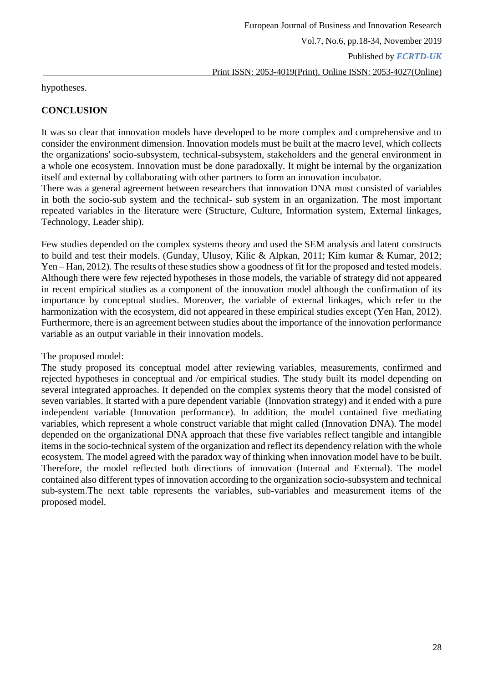hypotheses.

# **CONCLUSION**

It was so clear that innovation models have developed to be more complex and comprehensive and to consider the environment dimension. Innovation models must be built at the macro level, which collects the organizations' socio-subsystem, technical-subsystem, stakeholders and the general environment in a whole one ecosystem. Innovation must be done paradoxally. It might be internal by the organization itself and external by collaborating with other partners to form an innovation incubator.

There was a general agreement between researchers that innovation DNA must consisted of variables in both the socio-sub system and the technical- sub system in an organization. The most important repeated variables in the literature were (Structure, Culture, Information system, External linkages, Technology, Leader ship).

Few studies depended on the complex systems theory and used the SEM analysis and latent constructs to build and test their models. (Gunday, Ulusoy, Kilic & Alpkan, 2011; Kim kumar & Kumar, 2012; Yen – Han, 2012). The results of these studies show a goodness of fit for the proposed and tested models. Although there were few rejected hypotheses in those models, the variable of strategy did not appeared in recent empirical studies as a component of the innovation model although the confirmation of its importance by conceptual studies. Moreover, the variable of external linkages, which refer to the harmonization with the ecosystem, did not appeared in these empirical studies except (Yen Han, 2012). Furthermore, there is an agreement between studies about the importance of the innovation performance variable as an output variable in their innovation models.

The proposed model:

The study proposed its conceptual model after reviewing variables, measurements, confirmed and rejected hypotheses in conceptual and /or empirical studies. The study built its model depending on several integrated approaches. It depended on the complex systems theory that the model consisted of seven variables. It started with a pure dependent variable (Innovation strategy) and it ended with a pure independent variable (Innovation performance). In addition, the model contained five mediating variables, which represent a whole construct variable that might called (Innovation DNA). The model depended on the organizational DNA approach that these five variables reflect tangible and intangible items in the socio-technical system of the organization and reflect its dependency relation with the whole ecosystem. The model agreed with the paradox way of thinking when innovation model have to be built. Therefore, the model reflected both directions of innovation (Internal and External). The model contained also different types of innovation according to the organization socio-subsystem and technical sub-system.The next table represents the variables, sub-variables and measurement items of the proposed model.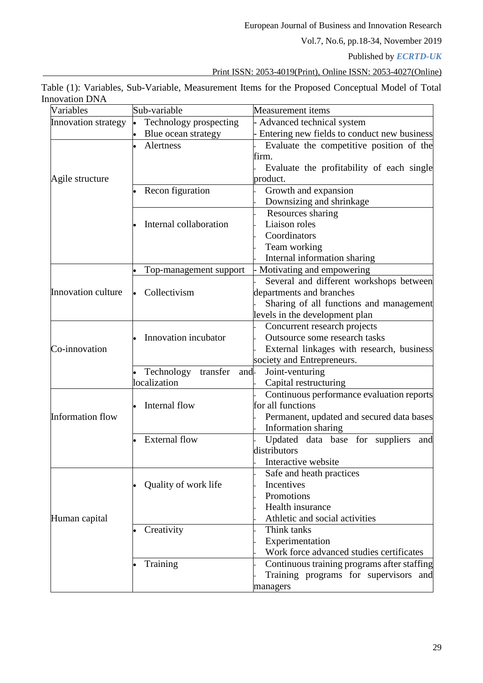European Journal of Business and Innovation Research

Vol.7, No.6, pp.18-34, November 2019

Published by *ECRTD-UK*

Print ISSN: 2053-4019(Print), Online ISSN: 2053-4027(Online)

| Table (1): Variables, Sub-Variable, Measurement Items for the Proposed Conceptual Model of Total |  |  |  |  |
|--------------------------------------------------------------------------------------------------|--|--|--|--|
| <b>Innovation DNA</b>                                                                            |  |  |  |  |

| Variables               | Sub-variable                   | Measurement items                           |  |  |  |
|-------------------------|--------------------------------|---------------------------------------------|--|--|--|
| Innovation strategy     | Technology prospecting         | Advanced technical system                   |  |  |  |
|                         | Blue ocean strategy            | Entering new fields to conduct new business |  |  |  |
|                         | Alertness                      | Evaluate the competitive position of the    |  |  |  |
|                         |                                | firm.                                       |  |  |  |
|                         |                                | Evaluate the profitability of each single   |  |  |  |
| Agile structure         |                                | product.                                    |  |  |  |
|                         | Recon figuration               | Growth and expansion                        |  |  |  |
|                         |                                | Downsizing and shrinkage                    |  |  |  |
|                         |                                | Resources sharing                           |  |  |  |
|                         | Internal collaboration         | Liaison roles                               |  |  |  |
|                         |                                | Coordinators                                |  |  |  |
|                         |                                | Team working                                |  |  |  |
|                         |                                | Internal information sharing                |  |  |  |
|                         | Top-management support         | Motivating and empowering                   |  |  |  |
|                         |                                | Several and different workshops between     |  |  |  |
| Innovation culture      | Collectivism                   | departments and branches                    |  |  |  |
|                         |                                | Sharing of all functions and management     |  |  |  |
|                         |                                | levels in the development plan              |  |  |  |
|                         |                                | Concurrent research projects                |  |  |  |
|                         | Innovation incubator           | Outsource some research tasks               |  |  |  |
| Co-innovation           |                                | External linkages with research, business   |  |  |  |
|                         |                                | society and Entrepreneurs.                  |  |  |  |
|                         | transfer<br>Technology<br>and- | Joint-venturing                             |  |  |  |
|                         | localization                   | Capital restructuring                       |  |  |  |
|                         |                                | Continuous performance evaluation reports   |  |  |  |
|                         | Internal flow                  | for all functions                           |  |  |  |
| <b>Information flow</b> |                                | Permanent, updated and secured data bases   |  |  |  |
|                         |                                | Information sharing                         |  |  |  |
|                         | <b>External flow</b>           | Updated data base for suppliers<br>and      |  |  |  |
|                         |                                | distributors                                |  |  |  |
|                         |                                | Interactive website                         |  |  |  |
|                         |                                | Safe and heath practices                    |  |  |  |
|                         | Quality of work life           | Incentives                                  |  |  |  |
|                         |                                | Promotions                                  |  |  |  |
|                         |                                | Health insurance                            |  |  |  |
| Human capital           |                                | Athletic and social activities              |  |  |  |
|                         | Creativity                     | Think tanks                                 |  |  |  |
|                         |                                | Experimentation                             |  |  |  |
|                         |                                | Work force advanced studies certificates    |  |  |  |
|                         | Training                       | Continuous training programs after staffing |  |  |  |
|                         |                                | Training programs for supervisors<br>and    |  |  |  |
|                         |                                | managers                                    |  |  |  |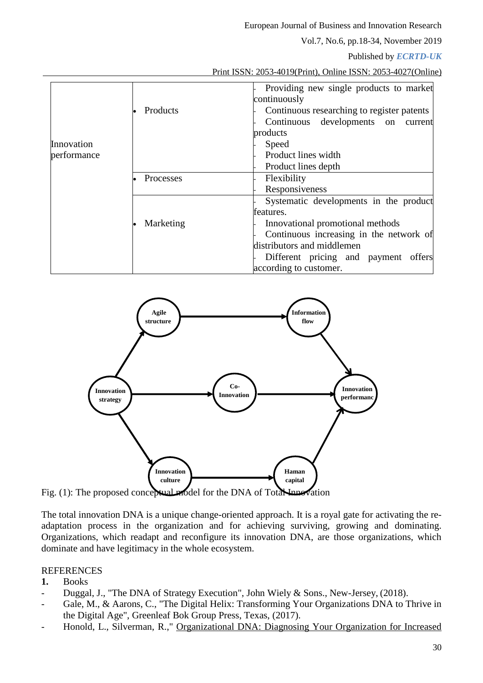European Journal of Business and Innovation Research

Vol.7, No.6, pp.18-34, November 2019

Published by *ECRTD-UK*

|--|

|             |           | Providing new single products to market    |  |  |  |
|-------------|-----------|--------------------------------------------|--|--|--|
|             |           | continuously                               |  |  |  |
|             | Products  | Continuous researching to register patents |  |  |  |
|             |           | Continuous developments on<br>current      |  |  |  |
|             |           | products                                   |  |  |  |
| Innovation  |           | Speed                                      |  |  |  |
| performance |           | Product lines width                        |  |  |  |
|             |           | Product lines depth                        |  |  |  |
|             | Processes | Flexibility                                |  |  |  |
|             |           | Responsiveness                             |  |  |  |
|             |           | Systematic developments in the product     |  |  |  |
|             |           | features.                                  |  |  |  |
|             | Marketing | Innovational promotional methods           |  |  |  |
|             |           | Continuous increasing in the network of    |  |  |  |
|             |           | distributors and middlemen                 |  |  |  |
|             |           | Different pricing and payment offers       |  |  |  |
|             |           | according to customer.                     |  |  |  |



The total innovation DNA is a unique change-oriented approach. It is a royal gate for activating the readaptation process in the organization and for achieving surviving, growing and dominating. Organizations, which readapt and reconfigure its innovation DNA, are those organizations, which dominate and have legitimacy in the whole ecosystem.

## REFERENCES

## **1.** Books

- Duggal, J., "The DNA of Strategy Execution", John Wiely & Sons., New-Jersey, (2018).
- Gale, M., & Aarons, C., "The Digital Helix: Transforming Your Organizations DNA to Thrive in the Digital Age", Greenleaf Bok Group Press, Texas, (2017).
- Honold, L., Silverman, R.," Organizational DNA: Diagnosing Your Organization for Increased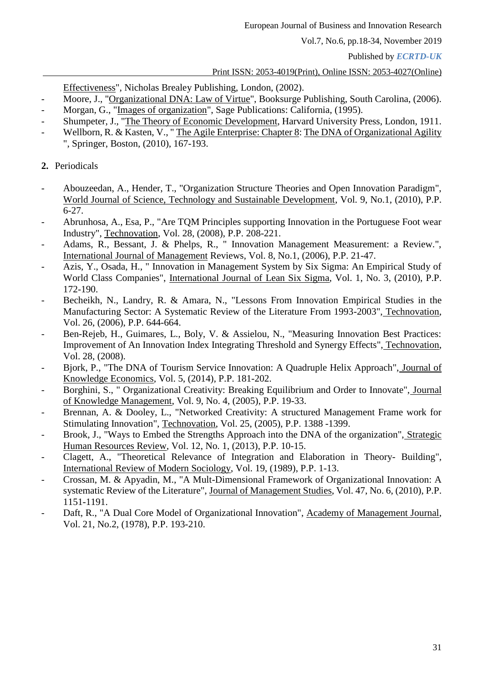Published by *ECRTD-UK*

## Print ISSN: 2053-4019(Print), Online ISSN: 2053-4027(Online)

Effectiveness", Nicholas Brealey Publishing, London, (2002).

- Moore, J., "Organizational DNA: Law of Virtue", Booksurge Publishing, South Carolina, (2006).
- Morgan, G., "Images of organization", Sage Publications: California, (1995).
- Shumpeter, J., "The Theory of Economic Development, Harvard University Press, London, 1911.
- Wellborn, R. & Kasten, V., "The Agile Enterprise: Chapter 8: The DNA of Organizational Agility ", Springer, Boston, (2010), 167-193.
- **2.** Periodicals
- Abouzeedan, A., Hender, T., "Organization Structure Theories and Open Innovation Paradigm", World Journal of Science, Technology and Sustainable Development, Vol. 9, No.1, (2010), P.P. 6-27.
- Abrunhosa, A., Esa, P., "Are TQM Principles supporting Innovation in the Portuguese Foot wear Industry", Technovation, Vol. 28, (2008), P.P. 208-221.
- Adams, R., Bessant, J. & Phelps, R., " Innovation Management Measurement: a Review.", International Journal of Management Reviews, Vol. 8, No.1, (2006), P.P. 21-47.
- Azis, Y., Osada, H., " Innovation in Management System by Six Sigma: An Empirical Study of World Class Companies", International Journal of Lean Six Sigma, Vol. 1, No. 3, (2010), P.P. 172-190.
- Becheikh, N., Landry, R. & Amara, N., "Lessons From Innovation Empirical Studies in the Manufacturing Sector: A Systematic Review of the Literature From 1993-2003", Technovation, Vol. 26, (2006), P.P. 644-664.
- Ben-Rejeb, H., Guimares, L., Boly, V. & Assielou, N., "Measuring Innovation Best Practices: Improvement of An Innovation Index Integrating Threshold and Synergy Effects", Technovation, Vol. 28, (2008).
- Bjork, P., "The DNA of Tourism Service Innovation: A Quadruple Helix Approach", Journal of Knowledge Economics, Vol. 5, (2014), P.P. 181-202.
- Borghini, S., " Organizational Creativity: Breaking Equilibrium and Order to Innovate", Journal of Knowledge Management, Vol. 9, No. 4, (2005), P.P. 19-33.
- Brennan, A. & Dooley, L., "Networked Creativity: A structured Management Frame work for Stimulating Innovation", Technovation, Vol. 25, (2005), P.P. 1388 -1399.
- Brook, J., "Ways to Embed the Strengths Approach into the DNA of the organization", Strategic Human Resources Review, Vol. 12, No. 1, (2013), P.P. 10-15.
- Clagett, A., "Theoretical Relevance of Integration and Elaboration in Theory- Building", International Review of Modern Sociology, Vol. 19, (1989), P.P. 1-13.
- Crossan, M. & Apyadin, M., "A Mult-Dimensional Framework of Organizational Innovation: A systematic Review of the Literature", Journal of Management Studies, Vol. 47, No. 6, (2010), P.P. 1151-1191.
- Daft, R., "A Dual Core Model of Organizational Innovation", Academy of Management Journal, Vol. 21, No.2, (1978), P.P. 193-210.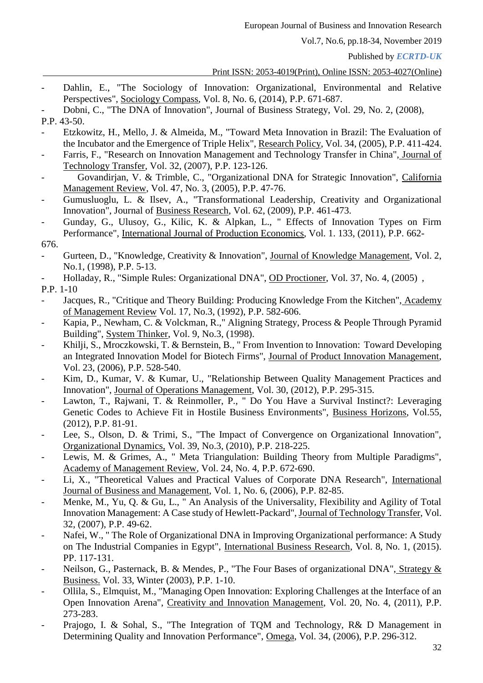Published by *ECRTD-UK*

## Print ISSN: 2053-4019(Print), Online ISSN: 2053-4027(Online)

- Dahlin, E., "The Sociology of Innovation: Organizational, Environmental and Relative Perspectives", Sociology Compass, Vol. 8, No. 6, (2014), P.P. 671-687.
- Dobni, C., "The DNA of Innovation", Journal of Business Strategy, Vol. 29, No. 2, (2008),
- P.P. 43-50.
- Etzkowitz, H., Mello, J. & Almeida, M., "Toward Meta Innovation in Brazil: The Evaluation of the Incubator and the Emergence of Triple Helix", Research Policy, Vol. 34, (2005), P.P. 411-424.
- Farris, F., "Research on Innovation Management and Technology Transfer in China", Journal of Technology Transfer, Vol. 32, (2007), P.P. 123-126.
- Govandirjan, V. & Trimble, C., "Organizational DNA for Strategic Innovation", California Management Review, Vol. 47, No. 3, (2005), P.P. 47-76.
- Gumusluoglu, L. & Ilsev, A., "Transformational Leadership, Creativity and Organizational Innovation", Journal of Business Research, Vol. 62, (2009), P.P. 461-473.
- Gunday, G., Ulusoy, G., Kilic, K. & Alpkan, L., " Effects of Innovation Types on Firm Performance", International Journal of Production Economics, Vol. 1. 133, (2011), P.P. 662-

- Gurteen, D., "Knowledge, Creativity & Innovation", Journal of Knowledge Management, Vol. 2, No.1, (1998), P.P. 5-13.
- Holladay, R., "Simple Rules: Organizational DNA", OD Proctioner, Vol. 37, No. 4, (2005) ,
- P.P. 1-10
- Jacques, R., "Critique and Theory Building: Producing Knowledge From the Kitchen", Academy of Management Review Vol. 17, No.3, (1992), P.P. 582-606.
- Kapia, P., Newham, C. & Volckman, R.," Aligning Strategy, Process & People Through Pyramid Building", System Thinker, Vol. 9, No.3, (1998).
- Khilji, S., Mroczkowski, T. & Bernstein, B., " From Invention to Innovation: Toward Developing an Integrated Innovation Model for Biotech Firms", Journal of Product Innovation Management, Vol. 23, (2006), P.P. 528-540.
- Kim, D., Kumar, V. & Kumar, U., "Relationship Between Quality Management Practices and Innovation", Journal of Operations Management, Vol. 30, (2012), P.P. 295-315.
- Lawton, T., Rajwani, T. & Reinmoller, P., " Do You Have a Survival Instinct?: Leveraging Genetic Codes to Achieve Fit in Hostile Business Environments", Business Horizons, Vol.55, (2012), P.P. 81-91.
- Lee, S., Olson, D. & Trimi, S., "The Impact of Convergence on Organizational Innovation", Organizational Dynamics, Vol. 39, No.3, (2010), P.P. 218-225.
- Lewis, M. & Grimes, A., " Meta Triangulation: Building Theory from Multiple Paradigms", Academy of Management Review, Vol. 24, No. 4, P.P. 672-690.
- Li, X., "Theoretical Values and Practical Values of Corporate DNA Research", International Journal of Business and Management, Vol. 1, No. 6, (2006), P.P. 82-85.
- Menke, M., Yu, Q. & Gu, L., " An Analysis of the Universality, Flexibility and Agility of Total Innovation Management: A Case study of Hewlett-Packard", Journal of Technology Transfer, Vol. 32, (2007), P.P. 49-62.
- Nafei, W., " The Role of Organizational DNA in Improving Organizational performance: A Study on The Industrial Companies in Egypt", International Business Research, Vol. 8, No. 1, (2015). PP. 117-131.
- Neilson, G., Pasternack, B. & Mendes, P., "The Four Bases of organizational DNA", Strategy & Business. Vol. 33, Winter (2003), P.P. 1-10.
- Ollila, S., Elmquist, M., "Managing Open Innovation: Exploring Challenges at the Interface of an Open Innovation Arena", Creativity and Innovation Management, Vol. 20, No. 4, (2011), P.P. 273-283.
- Prajogo, I. & Sohal, S., "The Integration of TQM and Technology, R& D Management in Determining Quality and Innovation Performance", Omega, Vol. 34, (2006), P.P. 296-312.

<sup>676.</sup>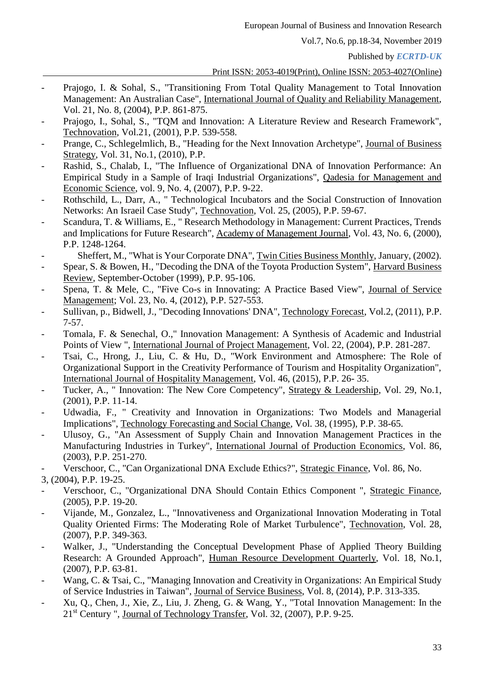Published by *ECRTD-UK*

Print ISSN: 2053-4019(Print), Online ISSN: 2053-4027(Online)

- Prajogo, I. & Sohal, S., "Transitioning From Total Quality Management to Total Innovation Management: An Australian Case", International Journal of Quality and Reliability Management, Vol. 21, No. 8, (2004), P.P. 861-875.
- Prajogo, I., Sohal, S., "TQM and Innovation: A Literature Review and Research Framework", Technovation, Vol.21, (2001), P.P. 539-558.
- Prange, C., Schlegelmlich, B., "Heading for the Next Innovation Archetype", Journal of Business Strategy, Vol. 31, No.1, (2010), P.P.
- Rashid, S., Chalab, I., "The Influence of Organizational DNA of Innovation Performance: An Empirical Study in a Sample of Iraqi Industrial Organizations", Qadesia for Management and Economic Science, vol. 9, No. 4, (2007), P.P. 9-22.
- Rothschild, L., Darr, A., " Technological Incubators and the Social Construction of Innovation Networks: An Israeil Case Study", Technovation, Vol. 25, (2005), P.P. 59-67.
- Scandura, T. & Williams, E., " Research Methodology in Management: Current Practices, Trends and Implications for Future Research", Academy of Management Journal, Vol. 43, No. 6, (2000), P.P. 1248-1264.
- Sheffert, M., "What is Your Corporate DNA", Twin Cities Business Monthly, January, (2002).
- Spear, S. & Bowen, H., "Decoding the DNA of the Toyota Production System", Harvard Business Review, September-October (1999), P.P. 95-106.
- Spena, T. & Mele, C., "Five Co-s in Innovating: A Practice Based View", Journal of Service Management; Vol. 23, No. 4, (2012), P.P. 527-553.
- Sullivan, p., Bidwell, J., "Decoding Innovations' DNA", Technology Forecast, Vol.2, (2011), P.P. 7-57.
- Tomala, F. & Senechal, O.," Innovation Management: A Synthesis of Academic and Industrial Points of View ", International Journal of Project Management, Vol. 22, (2004), P.P. 281-287.
- Tsai, C., Hrong, J., Liu, C. & Hu, D., "Work Environment and Atmosphere: The Role of Organizational Support in the Creativity Performance of Tourism and Hospitality Organization", International Journal of Hospitality Management, Vol. 46, (2015), P.P. 26- 35.
- Tucker, A., " Innovation: The New Core Competency", Strategy & Leadership, Vol. 29, No.1, (2001), P.P. 11-14.
- Udwadia, F., " Creativity and Innovation in Organizations: Two Models and Managerial Implications", Technology Forecasting and Social Change, Vol. 38, (1995), P.P. 38-65.
- Ulusoy, G., "An Assessment of Supply Chain and Innovation Management Practices in the Manufacturing Industries in Turkey", International Journal of Production Economics, Vol. 86, (2003), P.P. 251-270.
- Verschoor, C., "Can Organizational DNA Exclude Ethics?", Strategic Finance, Vol. 86, No.

3, (2004), P.P. 19-25.

- Verschoor, C., "Organizational DNA Should Contain Ethics Component ", Strategic Finance, (2005), P.P. 19-20.
- Vijande, M., Gonzalez, L., "Innovativeness and Organizational Innovation Moderating in Total Quality Oriented Firms: The Moderating Role of Market Turbulence", Technovation, Vol. 28, (2007), P.P. 349-363.
- Walker, J., "Understanding the Conceptual Development Phase of Applied Theory Building Research: A Grounded Approach", Human Resource Development Quarterly, Vol. 18, No.1, (2007), P.P. 63-81.
- Wang, C. & Tsai, C., "Managing Innovation and Creativity in Organizations: An Empirical Study of Service Industries in Taiwan", Journal of Service Business, Vol. 8, (2014), P.P. 313-335.
- Xu, Q., Chen, J., Xie, Z., Liu, J. Zheng, G. & Wang, Y., "Total Innovation Management: In the 21st Century ", Journal of Technology Transfer, Vol. 32, (2007), P.P. 9-25.